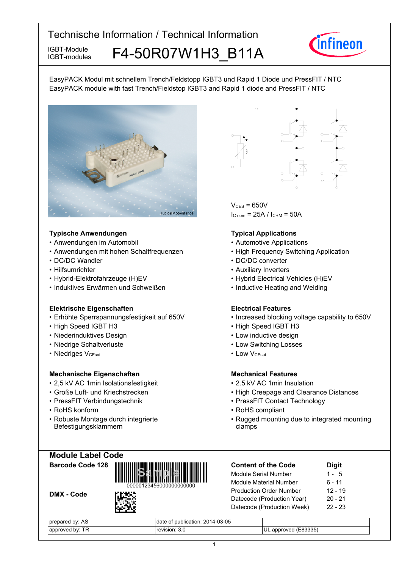IGBT-modules

# IGBT-Module F4-50R07W1H3 B11A



EasyPACK Modul mit schnellem Trench/Feldstopp IGBT3 und Rapid 1 Diode und PressFIT / NTC EasyPACK module with fast Trench/Fieldstop IGBT3 and Rapid 1 diode and PressFIT / NTC



### **Typische-Anwendungen Typical-**

- Anwendungen im
- Anwendungen mit hohen Schaltfrequenzen High
- DC/DC Wandler
- Hilfsumrichter
- Hybrid-Elektrofahrzeuge (H)EV
- Induktives Erwärmen und

### **Elektrische Eigenschaften Electrical-**

- Erhöhte Sperrspannungsfestigkeit auf
- High Speed IGBT
- Niederinduktives Design  **Low**
- Niedrige-Schaltverluste Low-
- Niedriges V<sub>CEsat</sub>

### **Mechanische Eigenschaften Mechanical-**

- 2,5 kV AC 1 min-Isolationsfestigkeit 2.5
- Große Luft- und Kriechstrecken High
- PressFIT Verbindungstechnik PressFIT
- RoHS konform **RoHS**
- Robuste Montage durch integrierte Befestigungsklammern



 $V_{CFS}$  = 650V  $I_{C n o m}$  = 25A /  $I_{C RM}$  = 50A

### **Typical Applications**

- Automobil **Automobil Automotive Applications** 
	- Frequency-Switching-Application
- Wandler DC/DC converter
	- Auxiliary Inverters
	- (H)EV Hybrid Electrical Vehicles (H)EV
	- Schweißen  **Inductive Heating and Welding**

### **Flectrical Features**

- 650V Increased blocking voltage capability to 650V
- H3 High Speed IGBT H3
	- inductive-design
	- Switching Losses
- V<sub>CEsat</sub> Low  $\cdot$  LOW  $V_{C \text{Test}}$

### **Mechanical Features**

- kV-AC-1min-Insulation
- Creepage and Clearance Distances
- Contact Technology
- RoHS compliant
- Rugged mounting due to integrated mounting clamps

**Module-Label-Code**

**Barcode-Code-128**

DMX - Code



| <b>Content of the Code</b>     | <b>Digit</b> |
|--------------------------------|--------------|
| Module Serial Number           | $1 - 5$      |
| <b>Module Material Number</b>  | 6 - 11       |
| <b>Production Order Number</b> | $12 - 19$    |
| Datecode (Production Year)     | $20 - 21$    |
| Datecode (Production Week)     | $22 - 23$    |
|                                |              |

| AS<br>hv<br>cu           | 14-03-05<br>publication: 201<br>date |                                        |
|--------------------------|--------------------------------------|----------------------------------------|
| <b>TD</b><br>hv:<br>ימימ | $\sim$<br>sıor<br>ن.ر<br>$ -$        | いつつに<br>UL<br>חחור<br>anr<br>ບບບບ<br>ູ |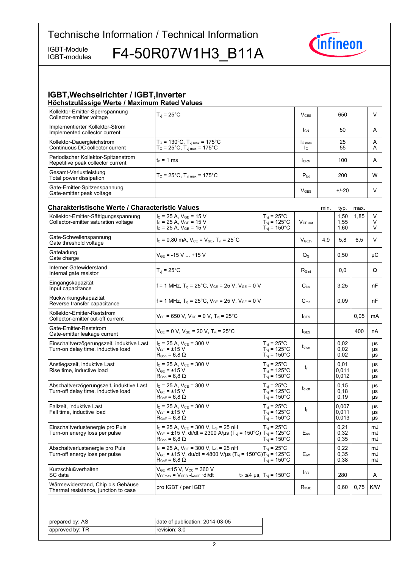IGBT-modules

IGBT-Module F4-50R07W1H3\_B11A



#### **IGBT, Wechselrichter / IGBT, Inverter Höchstzulässige-Werte-/-Maximum-Rated-Values**

| Kollektor-Emitter-Sperrspannung<br>Collector-emitter voltage                    | $T_{\rm vj}$ = 25°C                                                                                                                                                                           |                                                                                | $V_{CES}$                                      |      | 650                     |      | V              |
|---------------------------------------------------------------------------------|-----------------------------------------------------------------------------------------------------------------------------------------------------------------------------------------------|--------------------------------------------------------------------------------|------------------------------------------------|------|-------------------------|------|----------------|
| Implementierter Kollektor-Strom<br>Implemented collector current                |                                                                                                                                                                                               |                                                                                | <b>I</b> <sub>CN</sub>                         |      | 50                      |      | A              |
| Kollektor-Dauergleichstrom<br>Continuous DC collector current                   | $T_c = 130^{\circ}$ C, $T_{vj max} = 175^{\circ}$ C<br>$T_c = 25^{\circ}C$ , $T_{v1 \text{ max}} = 175^{\circ}C$                                                                              |                                                                                | $l_{C \text{ nom}}$<br>$\mathsf{I}_\mathsf{C}$ |      | 25<br>55                |      | A<br>A         |
| Periodischer Kollektor-Spitzenstrom<br>Repetitive peak collector current        | te = 1 ms                                                                                                                                                                                     |                                                                                | <b>I</b> CRM                                   |      | 100                     |      | A              |
| Gesamt-Verlustleistung<br>Total power dissipation                               | $T_c = 25^{\circ}C$ , $T_{\text{vi max}} = 175^{\circ}C$                                                                                                                                      |                                                                                | $P_{\text{tot}}$                               |      | 200                     |      | W              |
| Gate-Emitter-Spitzenspannung<br>Gate-emitter peak voltage                       |                                                                                                                                                                                               |                                                                                | <b>V<sub>GES</sub></b>                         |      | $+/-20$                 |      | V              |
| <b>Charakteristische Werte / Characteristic Values</b>                          |                                                                                                                                                                                               |                                                                                |                                                | min. | typ.                    | max. |                |
| Kollektor-Emitter-Sättigungsspannung<br>Collector-emitter saturation voltage    | $I_C$ = 25 A, $V_{GE}$ = 15 V<br>$I_C = 25 A$ , $V_{GE} = 15 V$<br>$I_c = 25 A$ , $V_{GE} = 15 V$                                                                                             | $T_{\rm vj}$ = 25°C<br>$T_{vi}$ = 125°C<br>$T_{\text{vj}}$ = 150 $^{\circ}$ C  | V <sub>CE</sub> sat                            |      | 1,50<br>1,55<br>1,60    | 1,85 | V<br>V<br>V    |
| Gate-Schwellenspannung<br>Gate threshold voltage                                | $I_c = 0,80$ mA, $V_{CE} = V_{GE}$ , $T_{vi} = 25^{\circ}$ C                                                                                                                                  |                                                                                | V <sub>GEth</sub>                              | 4,9  | 5,8                     | 6,5  | V              |
| Gateladung<br>Gate charge                                                       | $V_{GF}$ = -15 V  +15 V                                                                                                                                                                       |                                                                                | $Q_{G}$                                        |      | 0,50                    |      | μC             |
| Interner Gatewiderstand<br>Internal gate resistor                               | $T_{vi}$ = 25 $^{\circ}$ C                                                                                                                                                                    |                                                                                | $R_{\text{Gint}}$                              |      | 0,0                     |      | Ω              |
| Eingangskapazität<br>Input capacitance                                          | $f = 1$ MHz, $T_{vi} = 25^{\circ}$ C, $V_{CE} = 25$ V, $V_{GE} = 0$ V                                                                                                                         |                                                                                | $C_{\text{ies}}$                               |      | 3,25                    |      | nF             |
| Rückwirkungskapazität<br>Reverse transfer capacitance                           | f = 1 MHz, $T_{vi}$ = 25°C, $V_{CE}$ = 25 V, $V_{GE}$ = 0 V                                                                                                                                   |                                                                                | $C_{res}$                                      |      | 0.09                    |      | nF             |
| Kollektor-Emitter-Reststrom<br>Collector-emitter cut-off current                | $V_{CE}$ = 650 V, V <sub>GE</sub> = 0 V, T <sub>vi</sub> = 25 <sup>°</sup> C                                                                                                                  |                                                                                | $I_{\text{CES}}$                               |      |                         | 0.05 | mA             |
| Gate-Emitter-Reststrom<br>Gate-emitter leakage current                          | $V_{CE} = 0 V$ , $V_{GE} = 20 V$ , $T_{vi} = 25^{\circ}C$                                                                                                                                     |                                                                                | <b>I</b> GES                                   |      |                         | 400  | nA             |
| Einschaltverzögerungszeit, induktive Last<br>Turn-on delay time, inductive load | $I_C$ = 25 A, $V_{CE}$ = 300 V<br>$V_{GF}$ = ±15 V<br>$R_{\text{Gon}} = 6.8 \Omega$                                                                                                           | $T_{vi}$ = 25°C<br>$T_{vi}$ = 125°C<br>$T_{vi} = 150^{\circ}$ C                | $t_{d \text{ on}}$                             |      | 0,02<br>0,02<br>0,02    |      | μs<br>μs<br>μs |
| Anstiegszeit, induktive Last<br>Rise time, inductive load                       | $I_C$ = 25 A, $V_{CE}$ = 300 V<br>$V_{GF}$ = ±15 V<br>$R_{\text{Gon}} = 6.8 \Omega$                                                                                                           | $T_{vi}$ = 25 $^{\circ}$ C<br>$T_{vi}$ = 125°C<br>$T_{\text{vj}}$ = 150°C      | $t_{r}$                                        |      | 0,01<br>0,011<br>0,012  |      | μs<br>μs<br>μs |
| Abschaltverzögerungszeit, induktive Last<br>Turn-off delay time, inductive load | $I_C = 25 A$ , $V_{CE} = 300 V$<br>$V_{GE} = \pm 15 V$<br>$R_{Goff}$ = 6,8 $\Omega$                                                                                                           | $T_{vi}$ = 25 $^{\circ}$ C<br>$T_{vi}$ = 125°C<br>$T_{\text{vj}}$ = 150°C      | $t_{\text{d off}}$                             |      | 0, 15<br>0,18<br>0,19   |      | μs<br>μs<br>μs |
| Fallzeit, induktive Last<br>Fall time, inductive load                           | $I_C = 25 A$ , $V_{CE} = 300 V$<br>$V_{GE}$ = $\pm 15$ V<br>$R_{Goff}$ = 6,8 $\Omega$                                                                                                         | $T_{\rm vj}$ = 25°C<br>$T_{\text{vj}}$ = 125°C<br>$T_{\rm vj} = 150^{\circ}$ C | t                                              |      | 0.007<br>0,011<br>0,013 |      | μs<br>μs<br>μs |
| Einschaltverlustenergie pro Puls<br>Turn-on energy loss per pulse               | $I_C$ = 25 A, $V_{CE}$ = 300 V, L <sub>S</sub> = 25 nH<br>$V_{GE}$ = ±15 V, di/dt = 2300 A/µs (T <sub>vj</sub> = 150°C) T <sub>vj</sub> = 125°C<br>$\mathsf{R}_{\mathsf{Gon}}$ = 6,8 $\Omega$ | $T_{vi}$ = 25°C<br>$T_{vi}$ = 150 $^{\circ}$ C                                 | $E_{on}$                                       |      | 0,21<br>0,32<br>0,35    |      | mJ<br>mJ<br>mJ |
| Abschaltverlustenergie pro Puls<br>Turn-off energy loss per pulse               | $I_c$ = 25 A, $V_{CE}$ = 300 V, L <sub>s</sub> = 25 nH<br>$V_{GE}$ = ±15 V, du/dt = 4800 V/µs (T <sub>vj</sub> = 150°C)T <sub>vj</sub> = 125°C<br>$R_{Goff}$ = 6,8 $\Omega$                   | $T_{vi}$ = 25°C<br>$T_{\rm vi}$ = 150 $^{\circ}$ C                             | $E_{\text{off}}$                               |      | 0,22<br>0,35<br>0,38    |      | mJ<br>mJ<br>mJ |
| Kurzschlußverhalten<br>SC data                                                  | $V_{GE}$ $\leq$ 15 V. V <sub>CC</sub> = 360 V<br>Vcemax = Vces -Lsce ·di/dt                                                                                                                   | $t_P \leq 4$ µs, $T_{vi} = 150^{\circ}$ C                                      | $I_{SC}$                                       |      | 280                     |      | A              |
| Wärmewiderstand, Chip bis Gehäuse<br>Thermal resistance, junction to case       | pro IGBT / per IGBT                                                                                                                                                                           |                                                                                | $R_{thJC}$                                     |      | 0,60                    | 0.75 | K/W            |

| prepared by: AS | date of publication: 2014-03-05 |
|-----------------|---------------------------------|
| approved by: TR | revision: 3.0 l                 |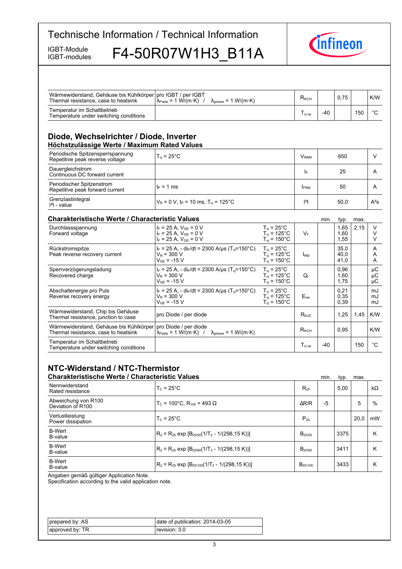IGBT-modules

IGBT-Module F4-50R07W1H3\_B11A



| Wärmewiderstand, Gehäuse bis Kühlkörper   pro IGBT / per IGBT<br>Thermal resistance, case to heatsink | $\lambda_{\text{Paste}} = 1 \text{ W/(m·K)}$ /<br>$\lambda_{\text{grease}} = 1 \text{ W/(m·K)}$                                                 |                                                                               | $R_{thCH}$              |       | 0,75                 |      | K/W                         |
|-------------------------------------------------------------------------------------------------------|-------------------------------------------------------------------------------------------------------------------------------------------------|-------------------------------------------------------------------------------|-------------------------|-------|----------------------|------|-----------------------------|
| Temperatur im Schaltbetrieb<br>Temperature under switching conditions                                 |                                                                                                                                                 |                                                                               | $T_{\rm vi\,op}$        | $-40$ |                      | 150  | $^{\circ}C$                 |
| Diode, Wechselrichter / Diode, Inverter<br>Höchstzulässige Werte / Maximum Rated Values               |                                                                                                                                                 |                                                                               |                         |       |                      |      |                             |
| Periodische Spitzensperrspannung<br>Repetitive peak reverse voltage                                   | $T_{vi}$ = 25 $^{\circ}$ C                                                                                                                      |                                                                               | <b>V</b> <sub>RRM</sub> |       | 650                  |      | $\vee$                      |
| Dauergleichstrom<br>Continuous DC forward current                                                     |                                                                                                                                                 |                                                                               | I۴                      |       | 25                   |      | A                           |
| Periodischer Spitzenstrom<br>Repetitive peak forward current                                          | $t_P = 1$ ms                                                                                                                                    |                                                                               | <b>FRM</b>              |       | 50                   |      | A                           |
| Grenzlastintegral<br>$l2t$ - value                                                                    | $V_R$ = 0 V, t <sub>P</sub> = 10 ms, T <sub>vi</sub> = 125°C                                                                                    |                                                                               | $l2$ t                  |       | 50.0                 |      | $A^2S$                      |
| <b>Charakteristische Werte / Characteristic Values</b>                                                |                                                                                                                                                 |                                                                               |                         | min.  | typ.                 | max. |                             |
| Durchlassspannung<br>Forward voltage                                                                  | $I_F = 25 A$ , $V_{GE} = 0 V$<br>$I_F = 25 A$ , $V_{GE} = 0 V$<br>$I_F = 25 A$ , $V_{GE} = 0 V$                                                 | $T_{vi} = 25^{\circ}$ C<br>$T_{vi}$ = 125°C<br>$T_{vi}$ = 150 $^{\circ}$ C    | $V_F$                   |       | 1,65<br>1,60<br>1,55 | 2.15 | $\vee$<br>V<br>V            |
| Rückstromspitze<br>Peak reverse recovery current                                                      | $I_F = 25$ A, - di <sub>F</sub> /dt = 2300 A/us (T <sub>vi</sub> =150°C)<br>$V_R$ = 300 V<br>$V_{GE}$ = -15 V                                   | $T_{vi}$ = 25°C<br>$T_{vi}$ = 125°C<br>$T_{vi} = 150^{\circ}$ C               | <b>IRM</b>              |       | 35.0<br>40,0<br>41,0 |      | A<br>A<br>Α                 |
| Sperrverzögerungsladung<br>Recovered charge                                                           | $I_F = 25$ A, - di <sub>F</sub> /dt = 2300 A/us (T <sub>vi</sub> =150°C)<br>$V_R = 300 V$<br>$V_{GF} = -15 V$                                   | $T_{vi}$ = 25 $^{\circ}$ C<br>$T_{vi}$ = 125°C<br>$T_{vi}$ = 150 $^{\circ}$ C | $Q_{r}$                 |       | 0.96<br>1.60<br>1,75 |      | μC<br>μC<br>$\upmu\text{C}$ |
| Abschaltenergie pro Puls<br>Reverse recovery energy                                                   | $I_F = 25 A$ , - di $F/dt = 2300 A/\mu s$ (T <sub>vi</sub> =150°C)<br>$V_R = 300 V$<br>$V_{GE}$ = -15 V                                         | $T_{vi}$ = 25 $^{\circ}$ C<br>$T_{vi}$ = 125°C<br>$T_{vi}$ = 150 $^{\circ}$ C | $E_{rec}$               |       | 0,21<br>0,35<br>0,39 |      | mJ<br>mJ<br>mJ              |
| Wärmewiderstand, Chip bis Gehäuse<br>Thermal resistance, junction to case                             | pro Diode / per diode                                                                                                                           |                                                                               | $R_{thJC}$              |       | 1,25                 | 1,45 | K/W                         |
| Wärmewiderstand, Gehäuse bis Kühlkörper<br>Thermal resistance, case to heatsink                       | pro Diode / per diode<br>$\lambda_{\text{Paste}} = 1 \text{ W/(m} \cdot \text{K)}$ / $\lambda_{\text{grease}} = 1 \text{ W/(m} \cdot \text{K)}$ |                                                                               | $R_{thCH}$              |       | 0.95                 |      | K/W                         |
| Temperatur im Schaltbetrieb<br>Temperature under switching conditions                                 |                                                                                                                                                 |                                                                               | $T_{\rm vi\,op}$        | $-40$ |                      | 150  | $^{\circ}C$                 |

# **NTC-Widerstand-/-NTC-Thermistor**

|                                          | <b>Charakteristische Werte / Characteristic Values</b>   |                    | min. | typ. | max. |           |
|------------------------------------------|----------------------------------------------------------|--------------------|------|------|------|-----------|
| Nennwiderstand<br>Rated resistance       | $T_c = 25^{\circ}$ C                                     | $R_{25}$           |      | 5.00 |      | $k\Omega$ |
| Abweichung von R100<br>Deviation of R100 | $T_c$ = 100°C. R <sub>100</sub> = 493 Ω                  | $\Delta$ R/R       | -5   |      | 5    | $\%$      |
| Verlustleistung<br>Power dissipation     | $T_c = 25^{\circ}$ C                                     | $P_{25}$           |      |      | 20.0 | mW        |
| <b>B-Wert</b><br>B-value                 | $R_2 = R_{25}$ exp $[B_{25/50}(1/T_2 - 1/(298, 15 K))]$  | $B_{25/50}$        |      | 3375 |      | К         |
| <b>B-Wert</b><br>B-value                 | $ R_2 = R_{25}$ exp $[B_{25/80}(1/T_2 - 1/(298, 15 K))]$ | B <sub>25/80</sub> |      | 3411 |      | Κ         |
| <b>B-Wert</b><br>B-value                 | $R_2 = R_{25}$ exp $[B_{25/100}(1/T_2 - 1/(298, 15 K))]$ | $B_{25/100}$       |      | 3433 |      | κ         |

Angaben gemäß gültiger Application Note.

Specification according to the valid application note.

| prepared by: AS | date of publication: 2014-03-05 |
|-----------------|---------------------------------|
| approved by: TR | revision: 3.0 l                 |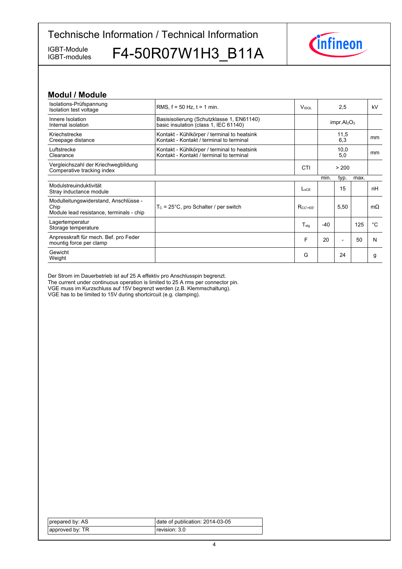IGBT-modules

IGBT-Module F4-50R07W1H3\_B11A



### **Modul-/-Module**

| RMS, $f = 50$ Hz, $t = 1$ min.                                                          | VISOL            | 2,5   |                          |      | kV                                  |
|-----------------------------------------------------------------------------------------|------------------|-------|--------------------------|------|-------------------------------------|
| Basisisolierung (Schutzklasse 1, EN61140)<br>basic insulation (class 1, IEC 61140)      |                  |       |                          |      |                                     |
| Kontakt - Kühlkörper / terminal to heatsink<br>Kontakt - Kontakt / terminal to terminal |                  |       | 11,5<br>6,3              |      | mm                                  |
| Kontakt - Kühlkörper / terminal to heatsink<br>Kontakt - Kontakt / terminal to terminal |                  |       | 10,0<br>5,0              |      | mm                                  |
|                                                                                         | <b>CTI</b>       |       | > 200                    |      |                                     |
|                                                                                         |                  | min.  | typ.                     | max. |                                     |
|                                                                                         | $L_{\rm sCF}$    |       | 15                       |      | nH                                  |
| $T_c = 25^{\circ}$ C, pro Schalter / per switch                                         | $R_{CC'+EE'}$    |       | 5,50                     |      | $m\Omega$                           |
|                                                                                         | $T_{\text{stq}}$ | $-40$ |                          | 125  | °C                                  |
|                                                                                         | F                | 20    | $\overline{\phantom{0}}$ | 50   | N                                   |
|                                                                                         | G                |       | 24                       |      | g                                   |
|                                                                                         |                  |       |                          |      | impr.AI <sub>2</sub> O <sub>3</sub> |

Der Strom im Dauerbetrieb ist auf 25 A effektiv pro Anschlusspin begrenzt. The current under continuous operation is limited to 25 A rms per connector pin. VGE muss im Kurzschluss auf 15V begrenzt werden (z.B. Klemmschaltung). VGE has to be limited to 15V during shortcircuit (e.g. clamping).

| prepared by: AS | date of publication: 2014-03-05 |
|-----------------|---------------------------------|
| approved by: TR | revision: 3.0                   |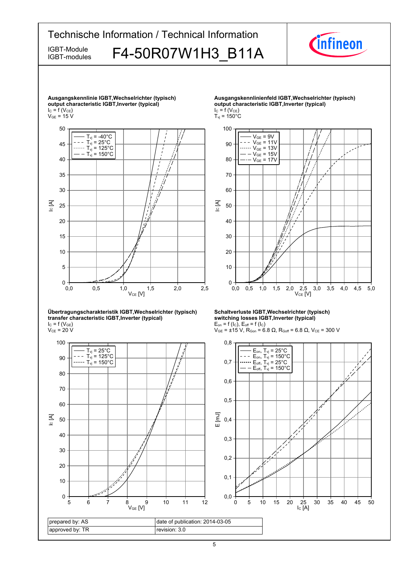



prepared by: AS approved by: TR date of publication: 2014-03-05 revision: 3.0

IC [A]

IC [A]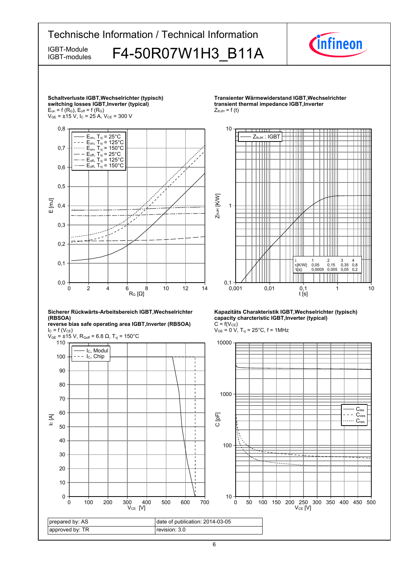

6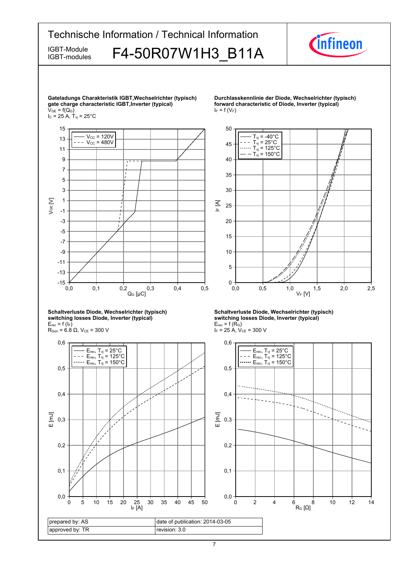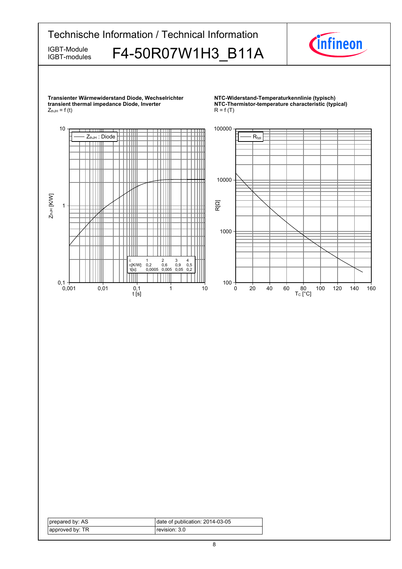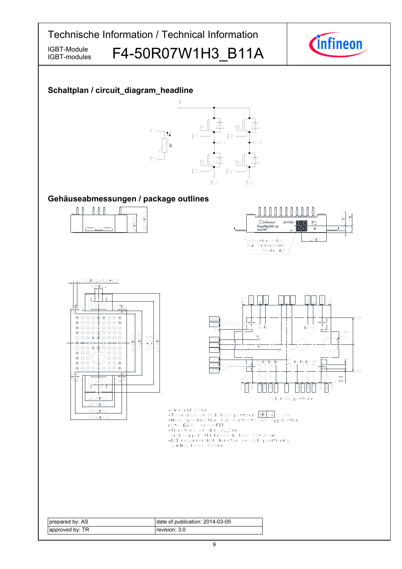IGBT-modules

IGBT-Module F4-50R07W1H3 B11A



### **Schaltplan-/-circuit\_diagram\_headline**



### Gehäuseabmessungen / package outlines









-Pin-Grid 3,2mm

- -Pin-Grid 3,2mm<br>-Tolerance of PCB hole pattern  $\boxed{\bigoplus [0,1]}$  24x<br>-Hole specification for contacts see application<br>note EASY PressFIT<br>-Diameters of drill 01,15mm<br>and copper thickness in hole 25-50 µm<br>-EZI recommanded diame
- 
- 
- 
- guiding holes 02,8mm

| prepared by: AS | date of publication: 2014-03-05 |
|-----------------|---------------------------------|
| approved by: TR | revision: 3.0                   |